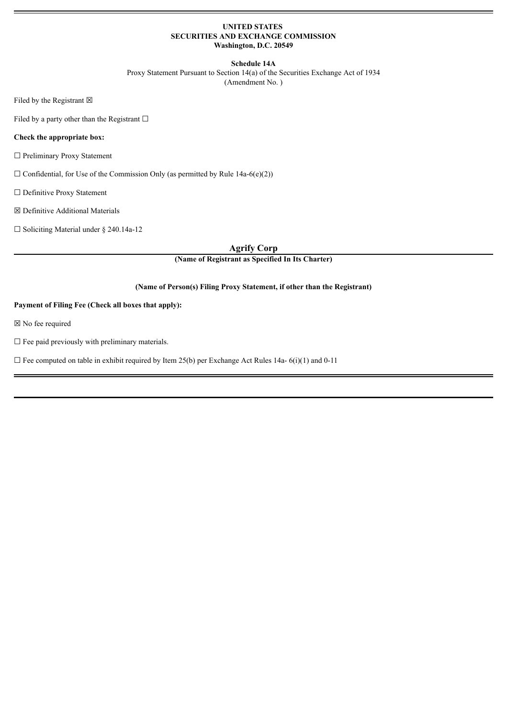# **UNITED STATES SECURITIES AND EXCHANGE COMMISSION Washington, D.C. 20549**

## **Schedule 14A**

Proxy Statement Pursuant to Section 14(a) of the Securities Exchange Act of 1934 (Amendment No. )

Filed by the Registrant  $\boxtimes$ 

Filed by a party other than the Registrant  $\Box$ 

# **Check the appropriate box:**

☐ Preliminary Proxy Statement

 $\Box$  Confidential, for Use of the Commission Only (as permitted by Rule 14a-6(e)(2))

☐ Definitive Proxy Statement

☒ Definitive Additional Materials

☐ Soliciting Material under § 240.14a-12

**Agrify Corp**

**(Name of Registrant as Specified In Its Charter)**

# **(Name of Person(s) Filing Proxy Statement, if other than the Registrant)**

# **Payment of Filing Fee (Check all boxes that apply):**

☒ No fee required

 $\square$  Fee paid previously with preliminary materials.

 $\Box$  Fee computed on table in exhibit required by Item 25(b) per Exchange Act Rules 14a- 6(i)(1) and 0-11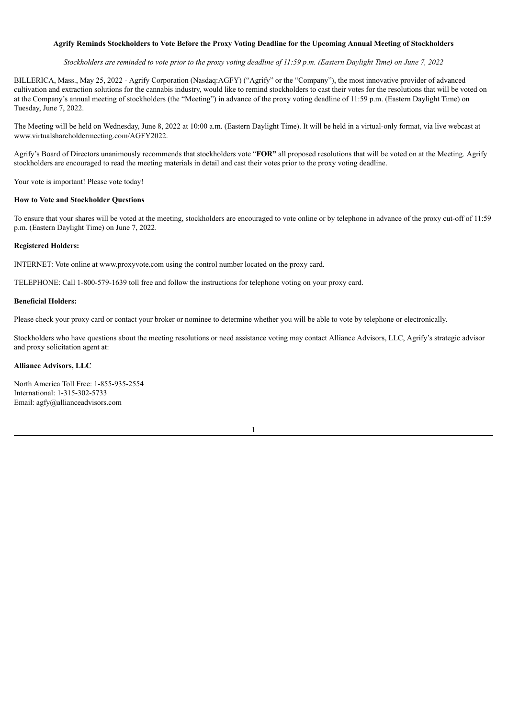# Agrify Reminds Stockholders to Vote Before the Proxy Voting Deadline for the Upcoming Annual Meeting of Stockholders

Stockholders are reminded to vote prior to the proxy voting deadline of 11:59 p.m. (Eastern Daylight Time) on June 7, 2022

BILLERICA, Mass., May 25, 2022 - Agrify Corporation (Nasdaq:AGFY) ("Agrify" or the "Company"), the most innovative provider of advanced cultivation and extraction solutions for the cannabis industry, would like to remind stockholders to cast their votes for the resolutions that will be voted on at the Company's annual meeting of stockholders (the "Meeting") in advance of the proxy voting deadline of 11:59 p.m. (Eastern Daylight Time) on Tuesday, June 7, 2022.

The Meeting will be held on Wednesday, June 8, 2022 at 10:00 a.m. (Eastern Daylight Time). It will be held in a virtual-only format, via live webcast at www.virtualshareholdermeeting.com/AGFY2022.

Agrify's Board of Directors unanimously recommends that stockholders vote "**FOR"** all proposed resolutions that will be voted on at the Meeting. Agrify stockholders are encouraged to read the meeting materials in detail and cast their votes prior to the proxy voting deadline.

Your vote is important! Please vote today!

#### **How to Vote and Stockholder Questions**

To ensure that your shares will be voted at the meeting, stockholders are encouraged to vote online or by telephone in advance of the proxy cut-off of 11:59 p.m. (Eastern Daylight Time) on June 7, 2022.

#### **Registered Holders:**

INTERNET: Vote online at www.proxyvote.com using the control number located on the proxy card.

TELEPHONE: Call 1-800-579-1639 toll free and follow the instructions for telephone voting on your proxy card.

## **Beneficial Holders:**

Please check your proxy card or contact your broker or nominee to determine whether you will be able to vote by telephone or electronically.

Stockholders who have questions about the meeting resolutions or need assistance voting may contact Alliance Advisors, LLC, Agrify's strategic advisor and proxy solicitation agent at:

#### **Alliance Advisors, LLC**

North America Toll Free: 1-855-935-2554 International: 1-315-302-5733 Email: agfy@allianceadvisors.com

1